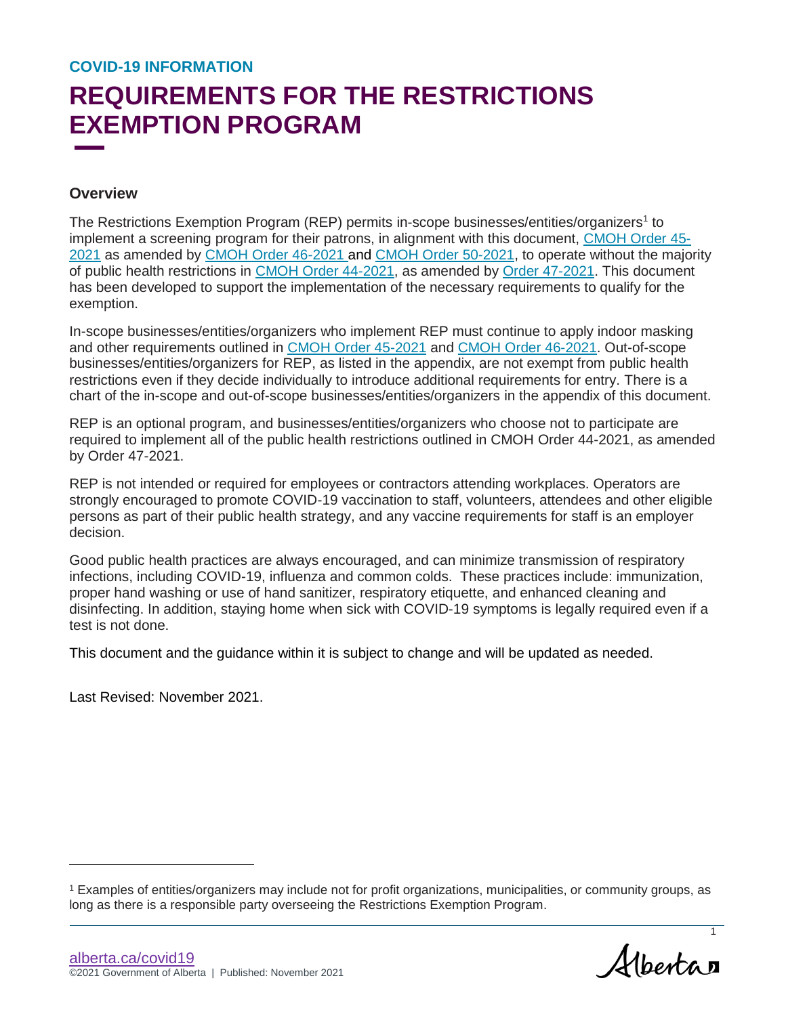# **REQUIREMENTS FOR THE RESTRICTIONS EXEMPTION PROGRAM**

#### **Overview**

The Restrictions Exemption Program (REP) permits in-scope businesses/entities/organizers<sup>1</sup> to implement a screening program for their patrons, in alignment with this document, [CMOH Order 45-](https://open.alberta.ca/publications/cmoh-order-45-2021) [2021](https://open.alberta.ca/publications/cmoh-order-45-2021) as amended by [CMOH Order 46-2021](https://open.alberta.ca/publications/cmoh-order-46-2021) and [CMOH Order 50-2021,](https://www.alberta.ca/covid-19-orders-and-legislation.aspx) to operate without the majority of public health restrictions in [CMOH Order 44-2021,](https://open.alberta.ca/publications/cmoh-order-44-2021) as amended by [Order 47-2021.](https://open.alberta.ca/publications/cmoh-order-47-2021) This document has been developed to support the implementation of the necessary requirements to qualify for the exemption.

In-scope businesses/entities/organizers who implement REP must continue to apply indoor masking and other requirements outlined in [CMOH Order 45-2021](https://open.alberta.ca/publications/cmoh-order-45-2021) and [CMOH Order 46-2021.](https://open.alberta.ca/publications/cmoh-order-46-2021) Out-of-scope businesses/entities/organizers for REP, as listed in the appendix, are not exempt from public health restrictions even if they decide individually to introduce additional requirements for entry. There is a chart of the in-scope and out-of-scope businesses/entities/organizers in the appendix of this document.

REP is an optional program, and businesses/entities/organizers who choose not to participate are required to implement all of the public health restrictions outlined in CMOH Order 44-2021, as amended by Order 47-2021.

REP is not intended or required for employees or contractors attending workplaces. Operators are strongly encouraged to promote COVID-19 vaccination to staff, volunteers, attendees and other eligible persons as part of their public health strategy, and any vaccine requirements for staff is an employer decision.

Good public health practices are always encouraged, and can minimize transmission of respiratory infections, including COVID-19, influenza and common colds. These practices include: immunization, proper hand washing or use of hand sanitizer, respiratory etiquette, and enhanced cleaning and disinfecting. In addition, staying home when sick with COVID-19 symptoms is legally required even if a test is not done.

This document and the guidance within it is subject to change and will be updated as needed.

Last Revised: November 2021.

l

1

<sup>1</sup> Examples of entities/organizers may include not for profit organizations, municipalities, or community groups, as long as there is a responsible party overseeing the Restrictions Exemption Program.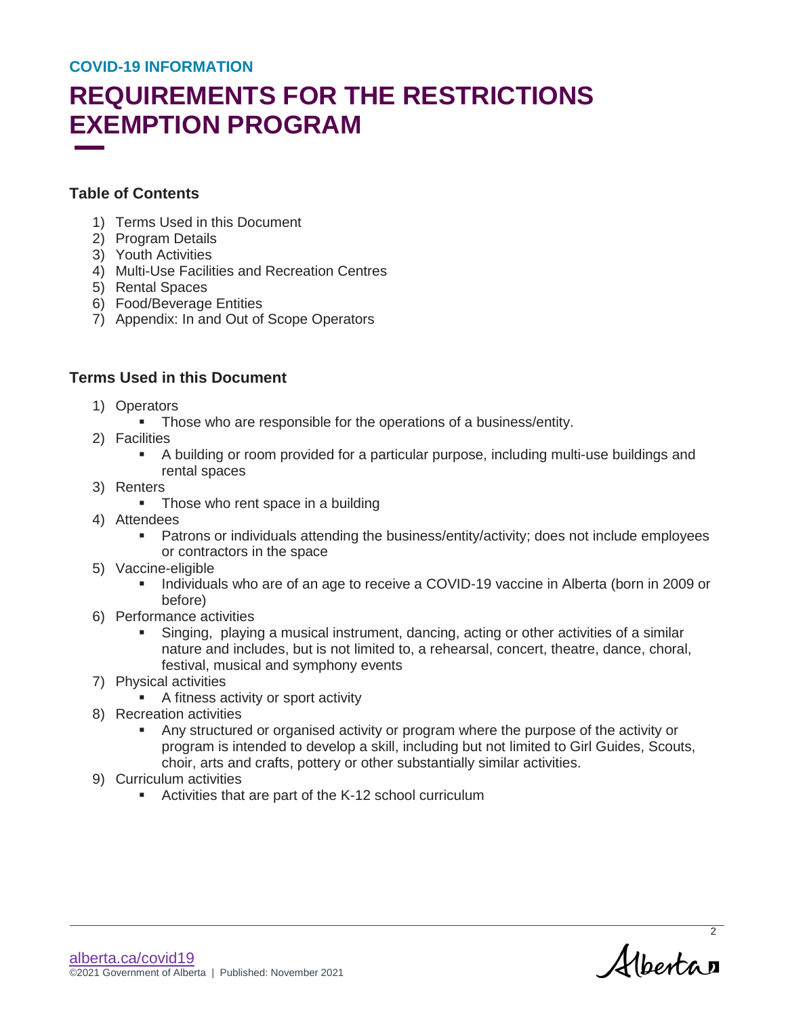# **REQUIREMENTS FOR THE RESTRICTIONS EXEMPTION PROGRAM**

#### **Table of Contents**

- 1) Terms Used in this Document
- 2) Program Details
- 3) Youth Activities
- 4) Multi-Use Facilities and Recreation Centres
- 5) Rental Spaces
- 6) Food/Beverage Entities
- 7) Appendix: In and Out of Scope Operators

### **Terms Used in this Document**

- 1) Operators
	- **Those who are responsible for the operations of a business/entity.**
- 2) Facilities
	- A building or room provided for a particular purpose, including multi-use buildings and rental spaces
- 3) Renters
	- Those who rent space in a building
- 4) Attendees
	- Patrons or individuals attending the business/entity/activity; does not include employees or contractors in the space
- 5) Vaccine-eligible
	- Individuals who are of an age to receive a COVID-19 vaccine in Alberta (born in 2009 or before)
- 6) Performance activities
	- Singing, playing a musical instrument, dancing, acting or other activities of a similar nature and includes, but is not limited to, a rehearsal, concert, theatre, dance, choral, festival, musical and symphony events
- 7) Physical activities
	- **A fitness activity or sport activity**
- 8) Recreation activities
	- Any structured or organised activity or program where the purpose of the activity or program is intended to develop a skill, including but not limited to Girl Guides, Scouts, choir, arts and crafts, pottery or other substantially similar activities.
- 9) Curriculum activities
	- Activities that are part of the K-12 school curriculum

Albertan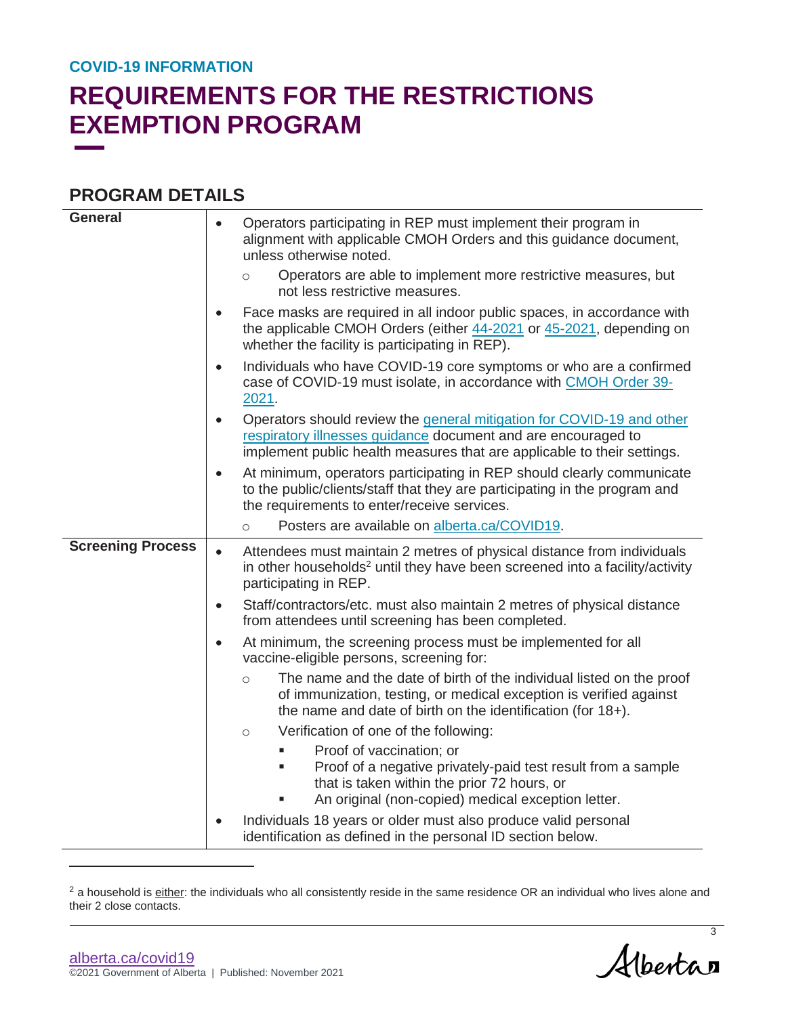## **REQUIREMENTS FOR THE RESTRICTIONS EXEMPTION PROGRAM**

### **PROGRAM DETAILS**

| <b>General</b>           | Operators participating in REP must implement their program in<br>$\bullet$<br>alignment with applicable CMOH Orders and this guidance document,<br>unless otherwise noted.                                                    |
|--------------------------|--------------------------------------------------------------------------------------------------------------------------------------------------------------------------------------------------------------------------------|
|                          | Operators are able to implement more restrictive measures, but<br>$\circ$<br>not less restrictive measures.                                                                                                                    |
|                          | Face masks are required in all indoor public spaces, in accordance with<br>$\bullet$<br>the applicable CMOH Orders (either 44-2021 or 45-2021, depending on<br>whether the facility is participating in REP).                  |
|                          | Individuals who have COVID-19 core symptoms or who are a confirmed<br>$\bullet$<br>case of COVID-19 must isolate, in accordance with CMOH Order 39-<br>2021.                                                                   |
|                          | Operators should review the general mitigation for COVID-19 and other<br>$\bullet$<br>respiratory illnesses guidance document and are encouraged to<br>implement public health measures that are applicable to their settings. |
|                          | At minimum, operators participating in REP should clearly communicate<br>to the public/clients/staff that they are participating in the program and<br>the requirements to enter/receive services.                             |
|                          | Posters are available on alberta.ca/COVID19.<br>$\circ$                                                                                                                                                                        |
| <b>Screening Process</b> | Attendees must maintain 2 metres of physical distance from individuals<br>in other households <sup>2</sup> until they have been screened into a facility/activity<br>participating in REP.                                     |
|                          | Staff/contractors/etc. must also maintain 2 metres of physical distance<br>$\bullet$<br>from attendees until screening has been completed.                                                                                     |
|                          | At minimum, the screening process must be implemented for all<br>$\bullet$<br>vaccine-eligible persons, screening for:                                                                                                         |
|                          | The name and the date of birth of the individual listed on the proof<br>$\circ$<br>of immunization, testing, or medical exception is verified against<br>the name and date of birth on the identification (for 18+).           |
|                          | Verification of one of the following:<br>$\circ$                                                                                                                                                                               |
|                          | Proof of vaccination; or<br>Proof of a negative privately-paid test result from a sample<br>that is taken within the prior 72 hours, or<br>An original (non-copied) medical exception letter.                                  |
|                          | Individuals 18 years or older must also produce valid personal<br>identification as defined in the personal ID section below.                                                                                                  |

<sup>2</sup> a household is either: the individuals who all consistently reside in the same residence OR an individual who lives alone and their 2 close contacts.

 $\overline{a}$ 

Albertan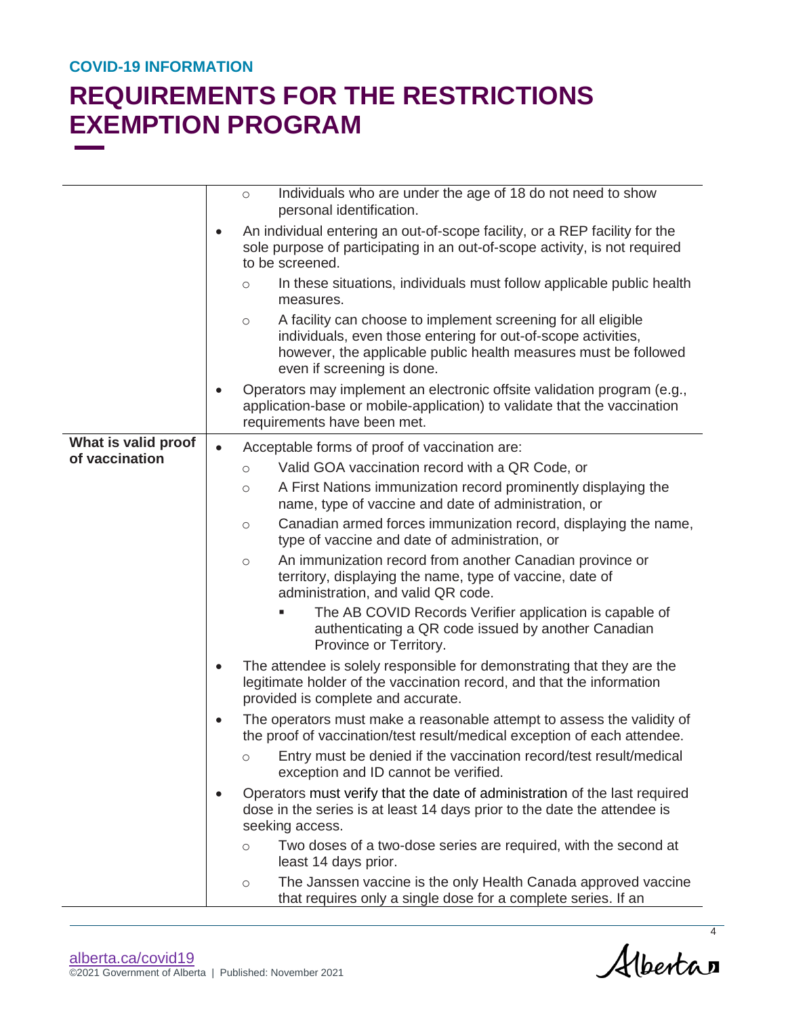|                                       |           | Individuals who are under the age of 18 do not need to show<br>$\circ$<br>personal identification.                                                                                                                                         |
|---------------------------------------|-----------|--------------------------------------------------------------------------------------------------------------------------------------------------------------------------------------------------------------------------------------------|
|                                       | $\bullet$ | An individual entering an out-of-scope facility, or a REP facility for the<br>sole purpose of participating in an out-of-scope activity, is not required<br>to be screened.                                                                |
|                                       |           | In these situations, individuals must follow applicable public health<br>$\circ$<br>measures.                                                                                                                                              |
|                                       |           | A facility can choose to implement screening for all eligible<br>$\circ$<br>individuals, even those entering for out-of-scope activities,<br>however, the applicable public health measures must be followed<br>even if screening is done. |
|                                       | $\bullet$ | Operators may implement an electronic offsite validation program (e.g.,<br>application-base or mobile-application) to validate that the vaccination<br>requirements have been met.                                                         |
| What is valid proof<br>of vaccination | $\bullet$ | Acceptable forms of proof of vaccination are:                                                                                                                                                                                              |
|                                       |           | Valid GOA vaccination record with a QR Code, or<br>$\circ$                                                                                                                                                                                 |
|                                       |           | A First Nations immunization record prominently displaying the<br>$\circ$<br>name, type of vaccine and date of administration, or                                                                                                          |
|                                       |           | Canadian armed forces immunization record, displaying the name,<br>$\circ$<br>type of vaccine and date of administration, or                                                                                                               |
|                                       |           | An immunization record from another Canadian province or<br>$\circ$<br>territory, displaying the name, type of vaccine, date of<br>administration, and valid QR code.                                                                      |
|                                       |           | The AB COVID Records Verifier application is capable of<br>authenticating a QR code issued by another Canadian<br>Province or Territory.                                                                                                   |
|                                       | $\bullet$ | The attendee is solely responsible for demonstrating that they are the<br>legitimate holder of the vaccination record, and that the information<br>provided is complete and accurate.                                                      |
|                                       | $\bullet$ | The operators must make a reasonable attempt to assess the validity of<br>the proof of vaccination/test result/medical exception of each attendee.                                                                                         |
|                                       |           | o Entry must be denied if the vaccination record/test result/medical<br>exception and ID cannot be verified.                                                                                                                               |
|                                       | $\bullet$ | Operators must verify that the date of administration of the last required<br>dose in the series is at least 14 days prior to the date the attendee is<br>seeking access.                                                                  |
|                                       |           | Two doses of a two-dose series are required, with the second at<br>$\circ$<br>least 14 days prior.                                                                                                                                         |
|                                       |           | The Janssen vaccine is the only Health Canada approved vaccine<br>$\bigcirc$<br>that requires only a single dose for a complete series. If an                                                                                              |

Albertan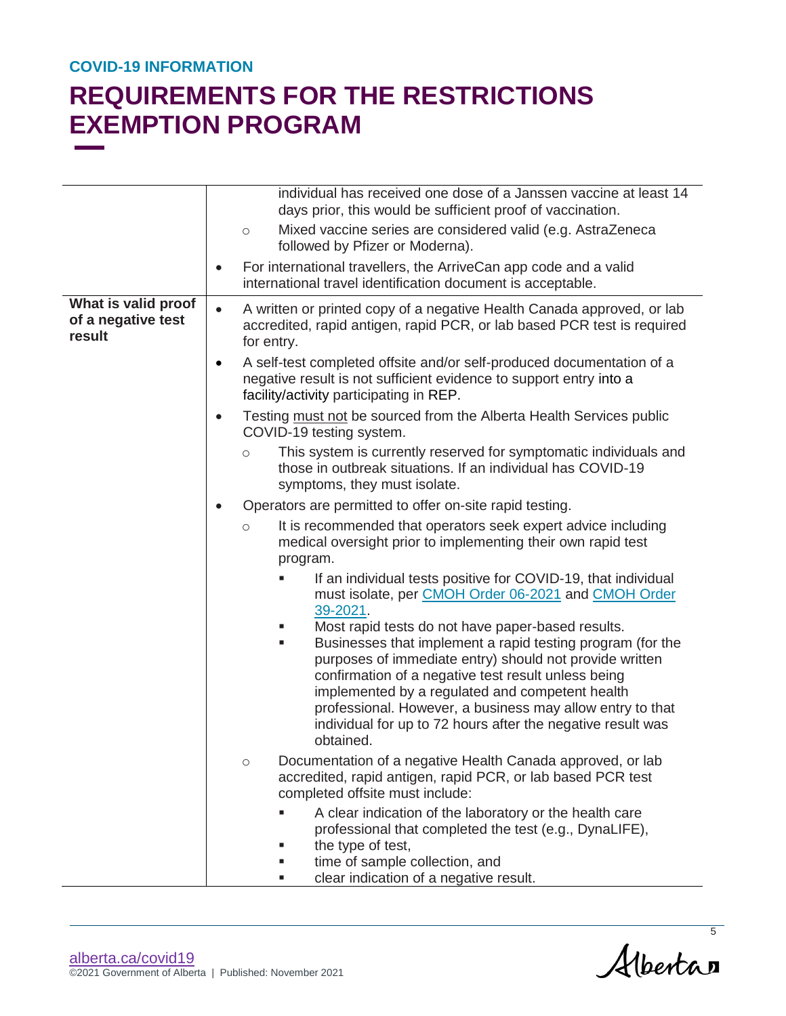# **REQUIREMENTS FOR THE RESTRICTIONS EXEMPTION PROGRAM**

|                                                     | individual has received one dose of a Janssen vaccine at least 14                                                                                                                                                                                                                                                                                                                                                                  |  |
|-----------------------------------------------------|------------------------------------------------------------------------------------------------------------------------------------------------------------------------------------------------------------------------------------------------------------------------------------------------------------------------------------------------------------------------------------------------------------------------------------|--|
|                                                     | days prior, this would be sufficient proof of vaccination.<br>Mixed vaccine series are considered valid (e.g. AstraZeneca<br>$\circ$                                                                                                                                                                                                                                                                                               |  |
|                                                     | followed by Pfizer or Moderna).                                                                                                                                                                                                                                                                                                                                                                                                    |  |
|                                                     | For international travellers, the ArriveCan app code and a valid<br>$\bullet$<br>international travel identification document is acceptable.                                                                                                                                                                                                                                                                                       |  |
| What is valid proof<br>of a negative test<br>result | A written or printed copy of a negative Health Canada approved, or lab<br>$\bullet$<br>accredited, rapid antigen, rapid PCR, or lab based PCR test is required<br>for entry.                                                                                                                                                                                                                                                       |  |
|                                                     | A self-test completed offsite and/or self-produced documentation of a<br>$\bullet$<br>negative result is not sufficient evidence to support entry into a<br>facility/activity participating in REP.                                                                                                                                                                                                                                |  |
|                                                     | Testing must not be sourced from the Alberta Health Services public<br>$\bullet$<br>COVID-19 testing system.                                                                                                                                                                                                                                                                                                                       |  |
|                                                     | This system is currently reserved for symptomatic individuals and<br>$\circ$<br>those in outbreak situations. If an individual has COVID-19<br>symptoms, they must isolate.                                                                                                                                                                                                                                                        |  |
|                                                     | Operators are permitted to offer on-site rapid testing.                                                                                                                                                                                                                                                                                                                                                                            |  |
|                                                     | It is recommended that operators seek expert advice including<br>$\circ$<br>medical oversight prior to implementing their own rapid test<br>program.                                                                                                                                                                                                                                                                               |  |
|                                                     | If an individual tests positive for COVID-19, that individual<br>must isolate, per CMOH Order 06-2021 and CMOH Order<br>39-2021.                                                                                                                                                                                                                                                                                                   |  |
|                                                     | Most rapid tests do not have paper-based results.<br>Businesses that implement a rapid testing program (for the<br>ш<br>purposes of immediate entry) should not provide written<br>confirmation of a negative test result unless being<br>implemented by a regulated and competent health<br>professional. However, a business may allow entry to that<br>individual for up to 72 hours after the negative result was<br>obtained. |  |
|                                                     | Documentation of a negative Health Canada approved, or lab<br>$\bigcirc$<br>accredited, rapid antigen, rapid PCR, or lab based PCR test<br>completed offsite must include:                                                                                                                                                                                                                                                         |  |
|                                                     | A clear indication of the laboratory or the health care<br>professional that completed the test (e.g., DynaLIFE),<br>the type of test,<br>time of sample collection, and<br>ш<br>clear indication of a negative result.<br>a.                                                                                                                                                                                                      |  |

Albertan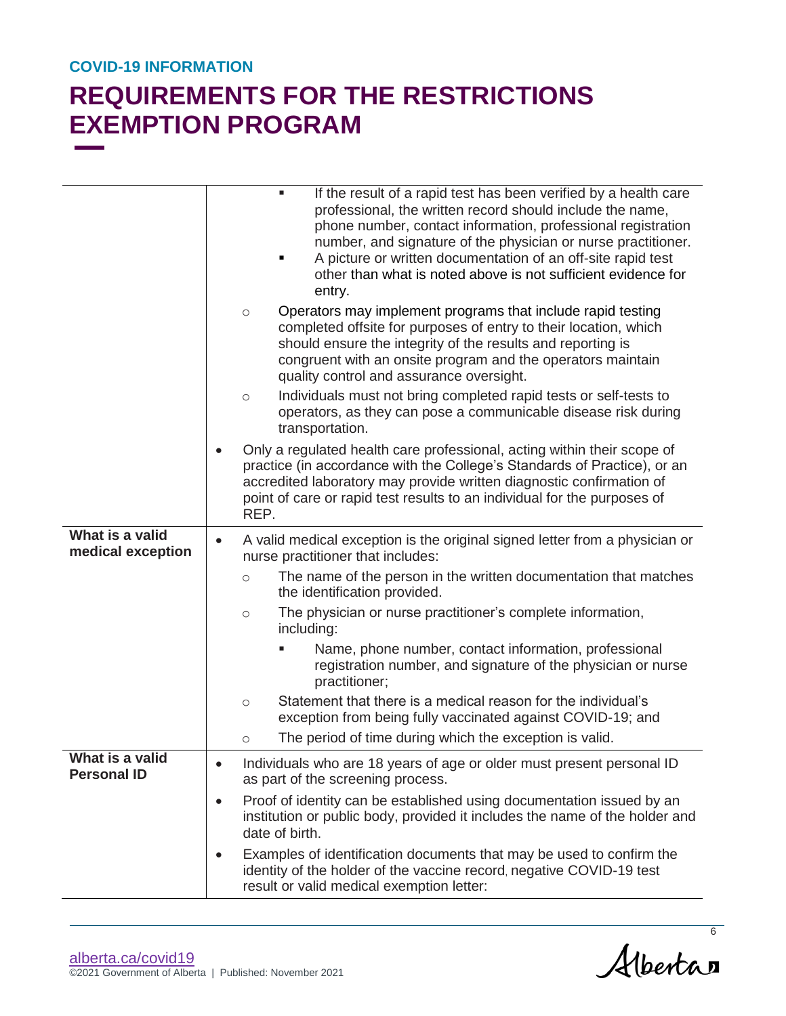|                                       |           |            | If the result of a rapid test has been verified by a health care<br>п<br>professional, the written record should include the name,<br>phone number, contact information, professional registration<br>number, and signature of the physician or nurse practitioner.<br>A picture or written documentation of an off-site rapid test<br>٠<br>other than what is noted above is not sufficient evidence for<br>entry. |
|---------------------------------------|-----------|------------|---------------------------------------------------------------------------------------------------------------------------------------------------------------------------------------------------------------------------------------------------------------------------------------------------------------------------------------------------------------------------------------------------------------------|
|                                       |           | $\circ$    | Operators may implement programs that include rapid testing<br>completed offsite for purposes of entry to their location, which<br>should ensure the integrity of the results and reporting is<br>congruent with an onsite program and the operators maintain<br>quality control and assurance oversight.                                                                                                           |
|                                       |           | $\circ$    | Individuals must not bring completed rapid tests or self-tests to<br>operators, as they can pose a communicable disease risk during<br>transportation.                                                                                                                                                                                                                                                              |
|                                       |           | REP.       | Only a regulated health care professional, acting within their scope of<br>practice (in accordance with the College's Standards of Practice), or an<br>accredited laboratory may provide written diagnostic confirmation of<br>point of care or rapid test results to an individual for the purposes of                                                                                                             |
| What is a valid<br>medical exception  | $\bullet$ |            | A valid medical exception is the original signed letter from a physician or<br>nurse practitioner that includes:                                                                                                                                                                                                                                                                                                    |
|                                       |           | $\circ$    | The name of the person in the written documentation that matches<br>the identification provided.                                                                                                                                                                                                                                                                                                                    |
|                                       |           | $\circ$    | The physician or nurse practitioner's complete information,<br>including:                                                                                                                                                                                                                                                                                                                                           |
|                                       |           |            | Name, phone number, contact information, professional<br>registration number, and signature of the physician or nurse<br>practitioner;                                                                                                                                                                                                                                                                              |
|                                       |           | $\circ$    | Statement that there is a medical reason for the individual's<br>exception from being fully vaccinated against COVID-19; and                                                                                                                                                                                                                                                                                        |
|                                       |           | $\bigcirc$ | The period of time during which the exception is valid.                                                                                                                                                                                                                                                                                                                                                             |
| What is a valid<br><b>Personal ID</b> | $\bullet$ |            | Individuals who are 18 years of age or older must present personal ID<br>as part of the screening process.                                                                                                                                                                                                                                                                                                          |
|                                       | $\bullet$ |            | Proof of identity can be established using documentation issued by an<br>institution or public body, provided it includes the name of the holder and<br>date of birth.                                                                                                                                                                                                                                              |
|                                       | ٠         |            | Examples of identification documents that may be used to confirm the<br>identity of the holder of the vaccine record, negative COVID-19 test<br>result or valid medical exemption letter:                                                                                                                                                                                                                           |

Albertan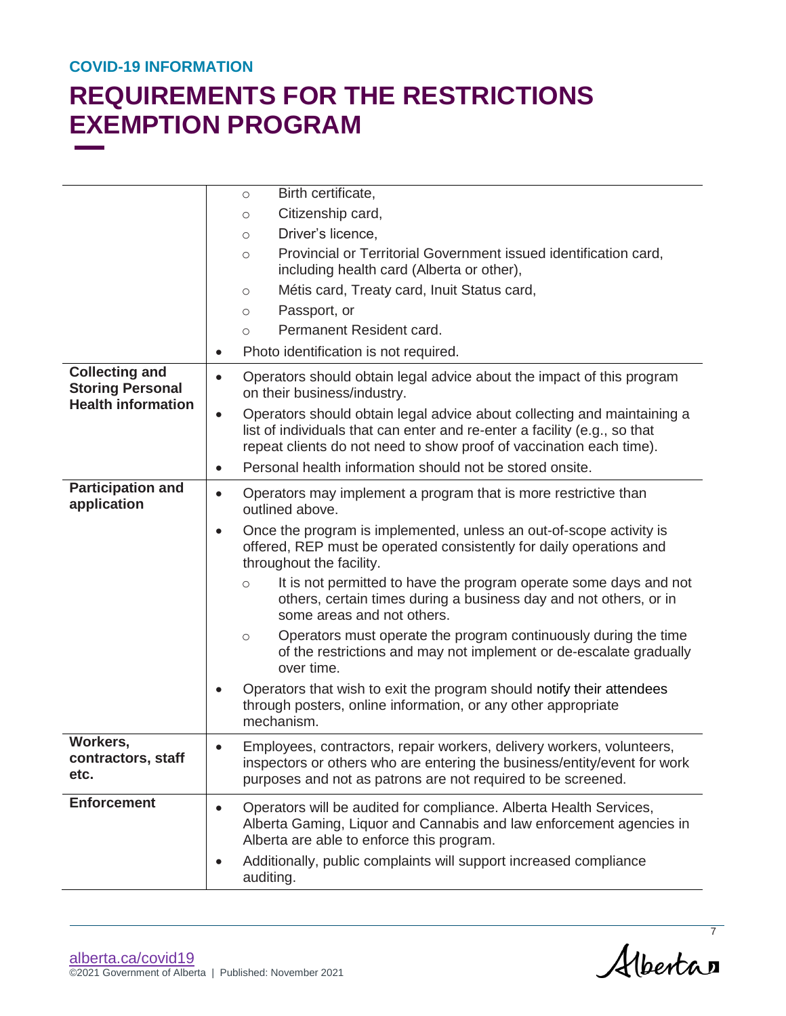|                                                      | Birth certificate,<br>$\circ$                                                                                                                                                                                                            |
|------------------------------------------------------|------------------------------------------------------------------------------------------------------------------------------------------------------------------------------------------------------------------------------------------|
|                                                      | Citizenship card,<br>$\circ$                                                                                                                                                                                                             |
|                                                      | Driver's licence,<br>$\circ$                                                                                                                                                                                                             |
|                                                      | Provincial or Territorial Government issued identification card,<br>$\circ$<br>including health card (Alberta or other),                                                                                                                 |
|                                                      | Métis card, Treaty card, Inuit Status card,<br>$\circlearrowright$                                                                                                                                                                       |
|                                                      | Passport, or<br>$\circ$                                                                                                                                                                                                                  |
|                                                      | Permanent Resident card.<br>$\circ$                                                                                                                                                                                                      |
|                                                      | Photo identification is not required.                                                                                                                                                                                                    |
| <b>Collecting and</b>                                |                                                                                                                                                                                                                                          |
| <b>Storing Personal</b><br><b>Health information</b> | Operators should obtain legal advice about the impact of this program<br>$\bullet$<br>on their business/industry.                                                                                                                        |
|                                                      | Operators should obtain legal advice about collecting and maintaining a<br>$\bullet$<br>list of individuals that can enter and re-enter a facility (e.g., so that<br>repeat clients do not need to show proof of vaccination each time). |
|                                                      | Personal health information should not be stored onsite.<br>$\bullet$                                                                                                                                                                    |
| <b>Participation and</b><br>application              | Operators may implement a program that is more restrictive than<br>$\bullet$<br>outlined above.                                                                                                                                          |
|                                                      | Once the program is implemented, unless an out-of-scope activity is<br>$\bullet$<br>offered, REP must be operated consistently for daily operations and<br>throughout the facility.                                                      |
|                                                      | It is not permitted to have the program operate some days and not<br>$\circ$<br>others, certain times during a business day and not others, or in<br>some areas and not others.                                                          |
|                                                      | Operators must operate the program continuously during the time<br>$\circ$<br>of the restrictions and may not implement or de-escalate gradually<br>over time.                                                                           |
|                                                      | Operators that wish to exit the program should notify their attendees<br>through posters, online information, or any other appropriate<br>mechanism.                                                                                     |
| Workers,<br>contractors, staff<br>etc.               | Employees, contractors, repair workers, delivery workers, volunteers,<br>inspectors or others who are entering the business/entity/event for work<br>purposes and not as patrons are not required to be screened.                        |
| <b>Enforcement</b>                                   | Operators will be audited for compliance. Alberta Health Services,<br>$\bullet$<br>Alberta Gaming, Liquor and Cannabis and law enforcement agencies in<br>Alberta are able to enforce this program.                                      |
|                                                      | Additionally, public complaints will support increased compliance<br>auditing.                                                                                                                                                           |

Albertan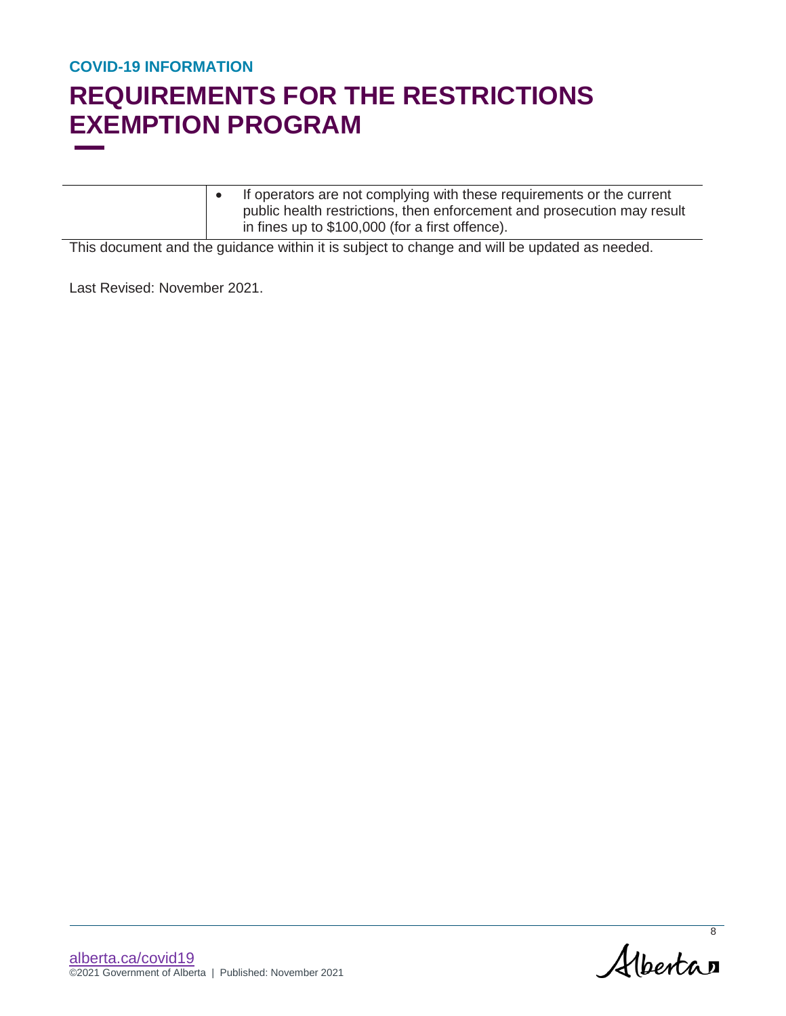# **REQUIREMENTS FOR THE RESTRICTIONS EXEMPTION PROGRAM**

|  | If operators are not complying with these requirements or the current   |
|--|-------------------------------------------------------------------------|
|  | public health restrictions, then enforcement and prosecution may result |
|  | in fines up to \$100,000 (for a first offence).                         |

This document and the guidance within it is subject to change and will be updated as needed.

Last Revised: November 2021.

Albertan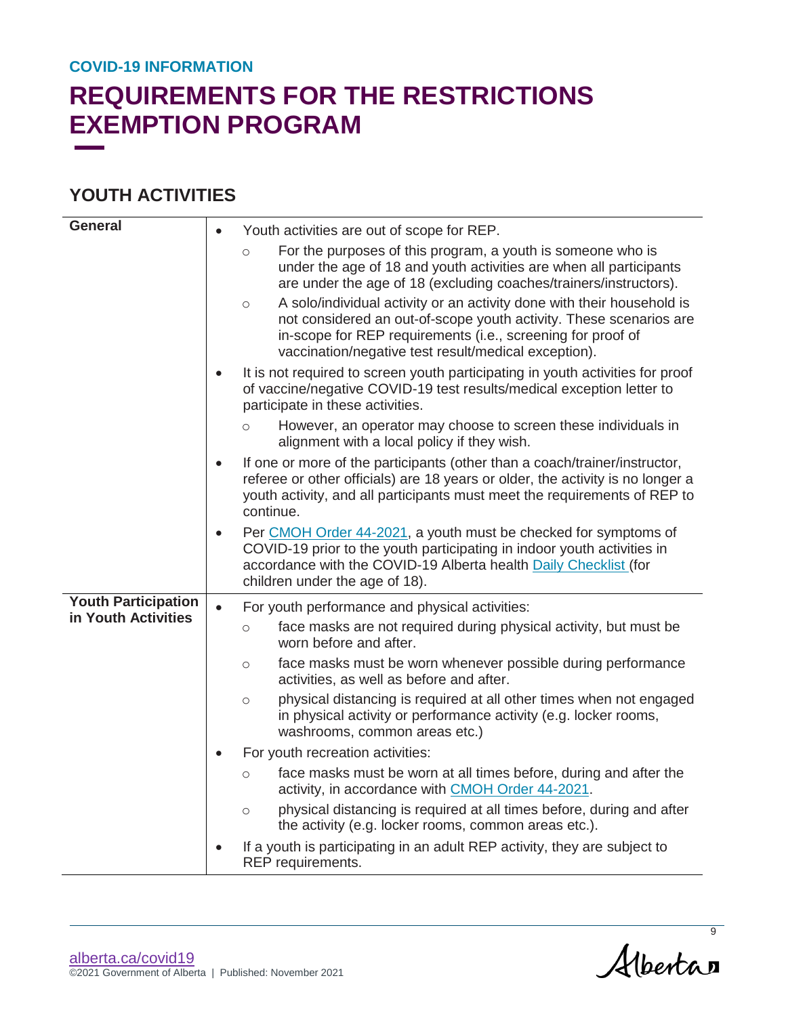# **REQUIREMENTS FOR THE RESTRICTIONS EXEMPTION PROGRAM**

### **YOUTH ACTIVITIES**

| <b>General</b>             | Youth activities are out of scope for REP.                                                                                                                                                                                                                                                                                                                                                                                                                                                          |
|----------------------------|-----------------------------------------------------------------------------------------------------------------------------------------------------------------------------------------------------------------------------------------------------------------------------------------------------------------------------------------------------------------------------------------------------------------------------------------------------------------------------------------------------|
|                            | For the purposes of this program, a youth is someone who is<br>$\circ$<br>under the age of 18 and youth activities are when all participants<br>are under the age of 18 (excluding coaches/trainers/instructors).<br>A solo/individual activity or an activity done with their household is<br>$\circ$<br>not considered an out-of-scope youth activity. These scenarios are<br>in-scope for REP requirements (i.e., screening for proof of<br>vaccination/negative test result/medical exception). |
|                            | It is not required to screen youth participating in youth activities for proof<br>$\bullet$<br>of vaccine/negative COVID-19 test results/medical exception letter to<br>participate in these activities.                                                                                                                                                                                                                                                                                            |
|                            | However, an operator may choose to screen these individuals in<br>$\circ$<br>alignment with a local policy if they wish.                                                                                                                                                                                                                                                                                                                                                                            |
|                            | If one or more of the participants (other than a coach/trainer/instructor,<br>$\bullet$<br>referee or other officials) are 18 years or older, the activity is no longer a<br>youth activity, and all participants must meet the requirements of REP to<br>continue.                                                                                                                                                                                                                                 |
|                            | Per CMOH Order 44-2021, a youth must be checked for symptoms of<br>$\bullet$<br>COVID-19 prior to the youth participating in indoor youth activities in<br>accordance with the COVID-19 Alberta health Daily Checklist (for<br>children under the age of 18).                                                                                                                                                                                                                                       |
| <b>Youth Participation</b> | For youth performance and physical activities:<br>$\bullet$                                                                                                                                                                                                                                                                                                                                                                                                                                         |
| in Youth Activities        | face masks are not required during physical activity, but must be<br>$\circ$<br>worn before and after.                                                                                                                                                                                                                                                                                                                                                                                              |
|                            | face masks must be worn whenever possible during performance<br>$\circ$<br>activities, as well as before and after.                                                                                                                                                                                                                                                                                                                                                                                 |
|                            | physical distancing is required at all other times when not engaged<br>$\circ$<br>in physical activity or performance activity (e.g. locker rooms,<br>washrooms, common areas etc.)                                                                                                                                                                                                                                                                                                                 |
|                            | For youth recreation activities:<br>$\bullet$                                                                                                                                                                                                                                                                                                                                                                                                                                                       |
|                            | face masks must be worn at all times before, during and after the<br>$\circ$<br>activity, in accordance with CMOH Order 44-2021.                                                                                                                                                                                                                                                                                                                                                                    |
|                            | physical distancing is required at all times before, during and after<br>$\circ$<br>the activity (e.g. locker rooms, common areas etc.).                                                                                                                                                                                                                                                                                                                                                            |
|                            | If a youth is participating in an adult REP activity, they are subject to<br>$\bullet$<br>REP requirements.                                                                                                                                                                                                                                                                                                                                                                                         |

Alberta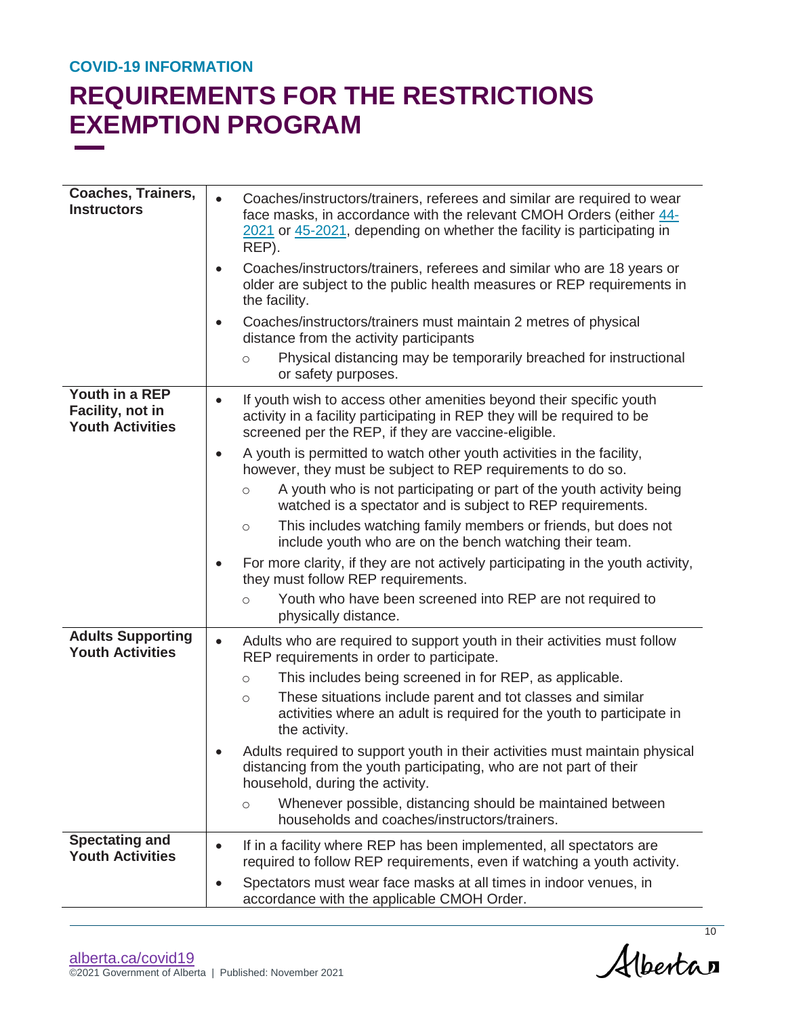| <b>Coaches, Trainers,</b><br><b>Instructors</b>               | Coaches/instructors/trainers, referees and similar are required to wear<br>face masks, in accordance with the relevant CMOH Orders (either 44-<br>2021 or 45-2021, depending on whether the facility is participating in<br>REP). |
|---------------------------------------------------------------|-----------------------------------------------------------------------------------------------------------------------------------------------------------------------------------------------------------------------------------|
|                                                               | Coaches/instructors/trainers, referees and similar who are 18 years or<br>$\bullet$<br>older are subject to the public health measures or REP requirements in<br>the facility.                                                    |
|                                                               | Coaches/instructors/trainers must maintain 2 metres of physical<br>$\bullet$<br>distance from the activity participants                                                                                                           |
|                                                               | Physical distancing may be temporarily breached for instructional<br>$\circ$<br>or safety purposes.                                                                                                                               |
| Youth in a REP<br>Facility, not in<br><b>Youth Activities</b> | If youth wish to access other amenities beyond their specific youth<br>$\bullet$<br>activity in a facility participating in REP they will be required to be<br>screened per the REP, if they are vaccine-eligible.                |
|                                                               | A youth is permitted to watch other youth activities in the facility,<br>$\bullet$<br>however, they must be subject to REP requirements to do so.                                                                                 |
|                                                               | A youth who is not participating or part of the youth activity being<br>$\circ$<br>watched is a spectator and is subject to REP requirements.                                                                                     |
|                                                               | This includes watching family members or friends, but does not<br>$\circ$<br>include youth who are on the bench watching their team.                                                                                              |
|                                                               | For more clarity, if they are not actively participating in the youth activity,<br>$\bullet$<br>they must follow REP requirements.                                                                                                |
|                                                               | Youth who have been screened into REP are not required to<br>$\circ$<br>physically distance.                                                                                                                                      |
| <b>Adults Supporting</b><br><b>Youth Activities</b>           | Adults who are required to support youth in their activities must follow<br>$\bullet$<br>REP requirements in order to participate.                                                                                                |
|                                                               | This includes being screened in for REP, as applicable.<br>$\circ$                                                                                                                                                                |
|                                                               | These situations include parent and tot classes and similar<br>$\circ$<br>activities where an adult is required for the youth to participate in<br>the activity.                                                                  |
|                                                               | Adults required to support youth in their activities must maintain physical<br>distancing from the youth participating, who are not part of their<br>household, during the activity.                                              |
|                                                               | Whenever possible, distancing should be maintained between<br>$\circ$<br>households and coaches/instructors/trainers.                                                                                                             |
| <b>Spectating and</b><br><b>Youth Activities</b>              | If in a facility where REP has been implemented, all spectators are<br>$\bullet$<br>required to follow REP requirements, even if watching a youth activity.                                                                       |
|                                                               | Spectators must wear face masks at all times in indoor venues, in<br>accordance with the applicable CMOH Order.                                                                                                                   |

Alberta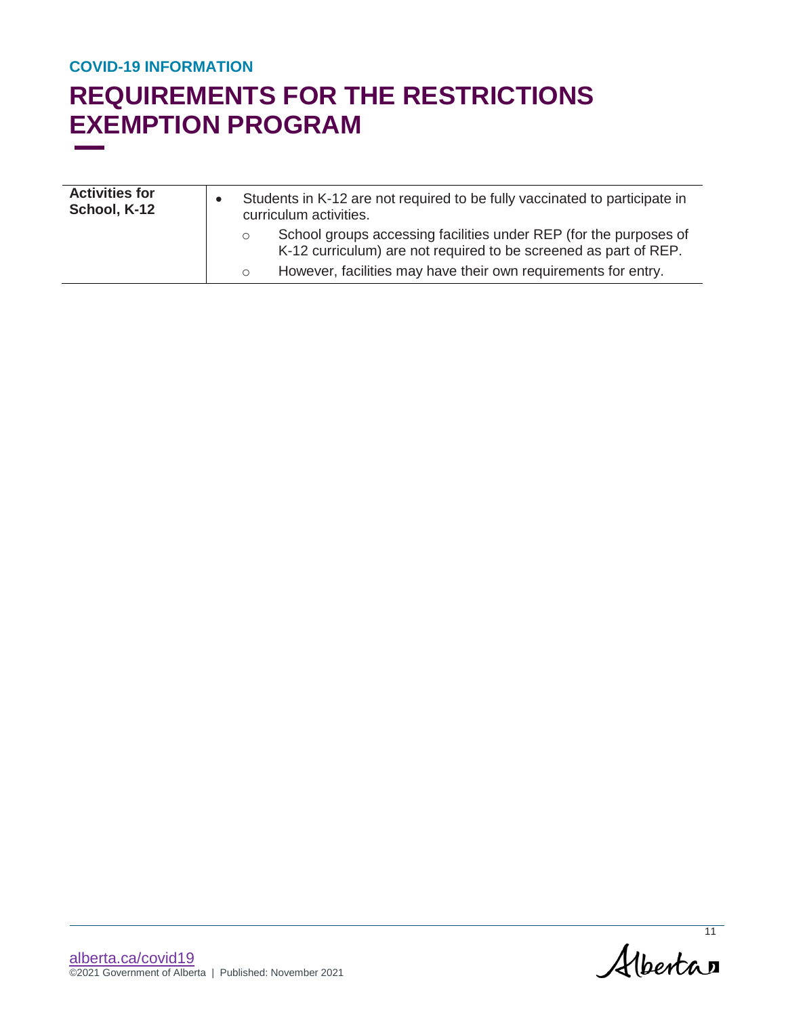| <b>Activities for</b><br>School, K-12 | Students in K-12 are not required to be fully vaccinated to participate in<br>curriculum activities. |                                                                                                                                       |
|---------------------------------------|------------------------------------------------------------------------------------------------------|---------------------------------------------------------------------------------------------------------------------------------------|
|                                       | $\circ$                                                                                              | School groups accessing facilities under REP (for the purposes of<br>K-12 curriculum) are not required to be screened as part of REP. |
|                                       |                                                                                                      | However, facilities may have their own requirements for entry.                                                                        |

Alberta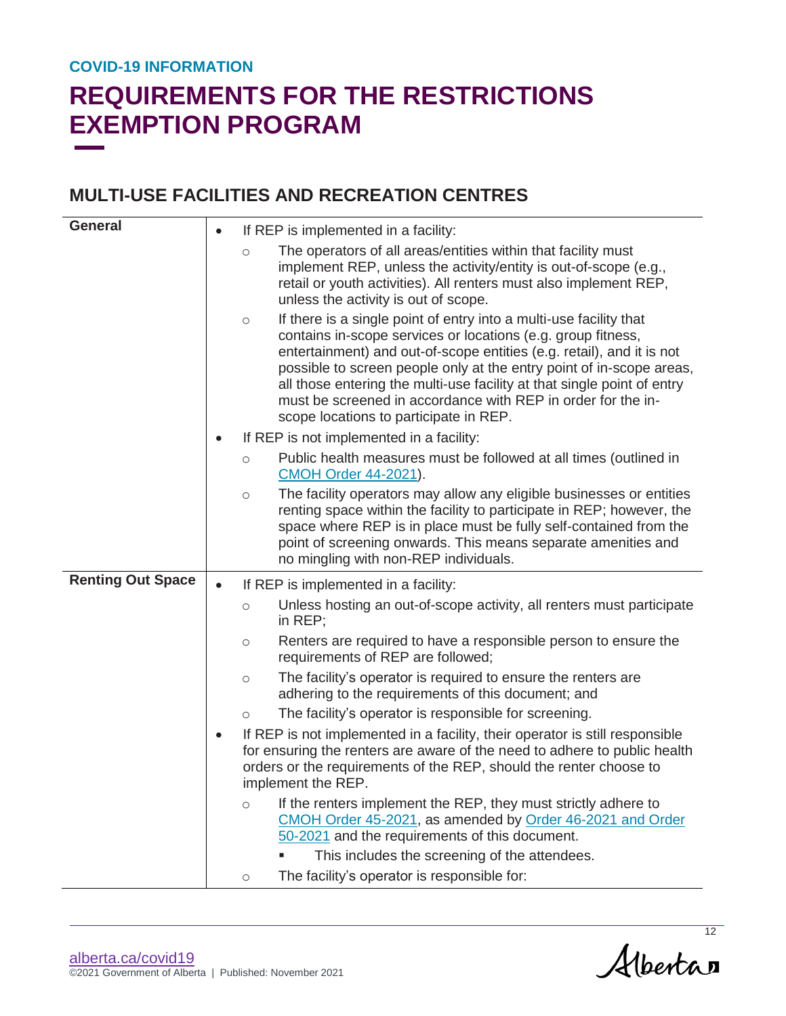# **REQUIREMENTS FOR THE RESTRICTIONS EXEMPTION PROGRAM**

### **MULTI-USE FACILITIES AND RECREATION CENTRES**

| <b>General</b>           |         | If REP is implemented in a facility:                                                                                                                                                                                                                                                                                                                                                                                                                                     |
|--------------------------|---------|--------------------------------------------------------------------------------------------------------------------------------------------------------------------------------------------------------------------------------------------------------------------------------------------------------------------------------------------------------------------------------------------------------------------------------------------------------------------------|
|                          | $\circ$ | The operators of all areas/entities within that facility must<br>implement REP, unless the activity/entity is out-of-scope (e.g.,<br>retail or youth activities). All renters must also implement REP,<br>unless the activity is out of scope.                                                                                                                                                                                                                           |
|                          | $\circ$ | If there is a single point of entry into a multi-use facility that<br>contains in-scope services or locations (e.g. group fitness,<br>entertainment) and out-of-scope entities (e.g. retail), and it is not<br>possible to screen people only at the entry point of in-scope areas,<br>all those entering the multi-use facility at that single point of entry<br>must be screened in accordance with REP in order for the in-<br>scope locations to participate in REP. |
|                          |         | If REP is not implemented in a facility:                                                                                                                                                                                                                                                                                                                                                                                                                                 |
|                          | $\circ$ | Public health measures must be followed at all times (outlined in<br><b>CMOH Order 44-2021).</b>                                                                                                                                                                                                                                                                                                                                                                         |
|                          | $\circ$ | The facility operators may allow any eligible businesses or entities<br>renting space within the facility to participate in REP; however, the<br>space where REP is in place must be fully self-contained from the<br>point of screening onwards. This means separate amenities and<br>no mingling with non-REP individuals.                                                                                                                                             |
| <b>Renting Out Space</b> |         | If REP is implemented in a facility:                                                                                                                                                                                                                                                                                                                                                                                                                                     |
|                          | $\circ$ | Unless hosting an out-of-scope activity, all renters must participate<br>in REP;                                                                                                                                                                                                                                                                                                                                                                                         |
|                          | $\circ$ | Renters are required to have a responsible person to ensure the<br>requirements of REP are followed;                                                                                                                                                                                                                                                                                                                                                                     |
|                          | $\circ$ | The facility's operator is required to ensure the renters are<br>adhering to the requirements of this document; and                                                                                                                                                                                                                                                                                                                                                      |
|                          | O       | The facility's operator is responsible for screening.                                                                                                                                                                                                                                                                                                                                                                                                                    |
|                          |         | If REP is not implemented in a facility, their operator is still responsible<br>for ensuring the renters are aware of the need to adhere to public health<br>orders or the requirements of the REP, should the renter choose to<br>implement the REP.                                                                                                                                                                                                                    |
|                          | $\circ$ | If the renters implement the REP, they must strictly adhere to<br>CMOH Order 45-2021, as amended by Order 46-2021 and Order<br>50-2021 and the requirements of this document.                                                                                                                                                                                                                                                                                            |
|                          |         | This includes the screening of the attendees.                                                                                                                                                                                                                                                                                                                                                                                                                            |
|                          | $\circ$ | The facility's operator is responsible for:                                                                                                                                                                                                                                                                                                                                                                                                                              |

 $Albertan$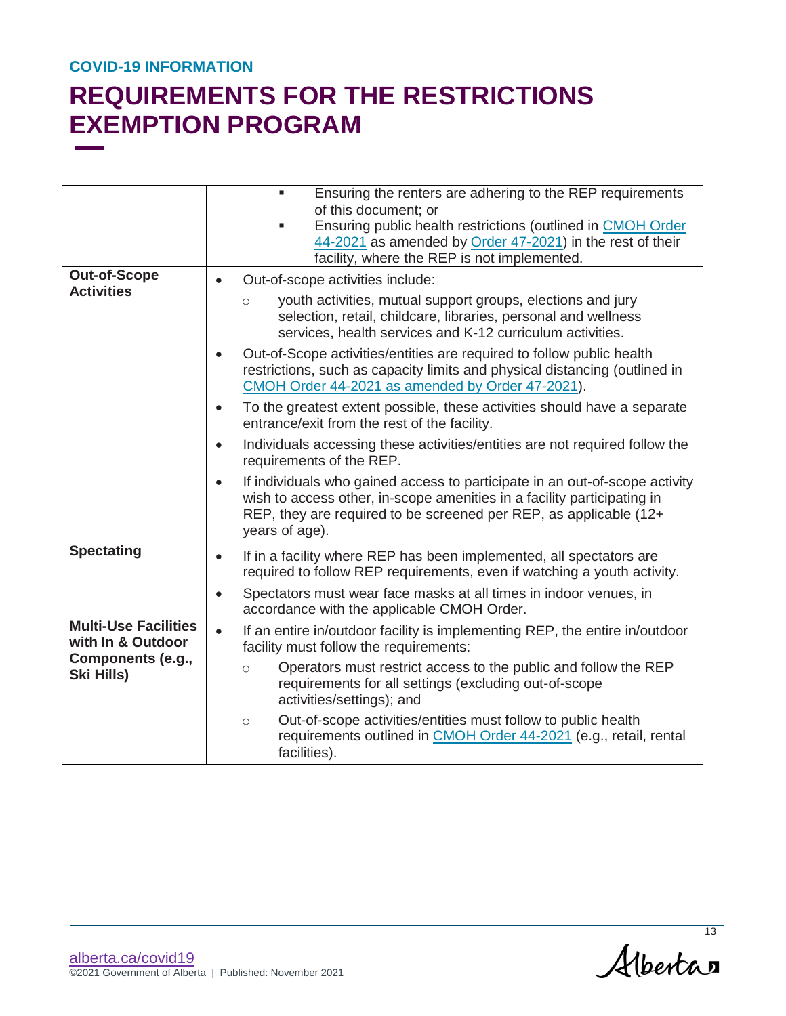|                                                                                            | Ensuring the renters are adhering to the REP requirements<br>ш<br>of this document; or<br>Ensuring public health restrictions (outlined in CMOH Order<br>$\blacksquare$<br>44-2021 as amended by Order 47-2021) in the rest of their<br>facility, where the REP is not implemented. |
|--------------------------------------------------------------------------------------------|-------------------------------------------------------------------------------------------------------------------------------------------------------------------------------------------------------------------------------------------------------------------------------------|
| <b>Out-of-Scope</b>                                                                        | Out-of-scope activities include:<br>$\bullet$                                                                                                                                                                                                                                       |
| <b>Activities</b>                                                                          | youth activities, mutual support groups, elections and jury<br>$\circ$<br>selection, retail, childcare, libraries, personal and wellness<br>services, health services and K-12 curriculum activities.                                                                               |
|                                                                                            | Out-of-Scope activities/entities are required to follow public health<br>$\bullet$<br>restrictions, such as capacity limits and physical distancing (outlined in<br>CMOH Order 44-2021 as amended by Order 47-2021).                                                                |
|                                                                                            | To the greatest extent possible, these activities should have a separate<br>$\bullet$<br>entrance/exit from the rest of the facility.                                                                                                                                               |
|                                                                                            | Individuals accessing these activities/entities are not required follow the<br>$\bullet$<br>requirements of the REP.                                                                                                                                                                |
|                                                                                            | If individuals who gained access to participate in an out-of-scope activity<br>$\bullet$<br>wish to access other, in-scope amenities in a facility participating in<br>REP, they are required to be screened per REP, as applicable (12+<br>years of age).                          |
| <b>Spectating</b>                                                                          | If in a facility where REP has been implemented, all spectators are<br>$\bullet$<br>required to follow REP requirements, even if watching a youth activity.                                                                                                                         |
|                                                                                            | Spectators must wear face masks at all times in indoor venues, in<br>$\bullet$<br>accordance with the applicable CMOH Order.                                                                                                                                                        |
| <b>Multi-Use Facilities</b><br>with In & Outdoor<br>Components (e.g.,<br><b>Ski Hills)</b> | If an entire in/outdoor facility is implementing REP, the entire in/outdoor<br>$\bullet$<br>facility must follow the requirements:                                                                                                                                                  |
|                                                                                            | Operators must restrict access to the public and follow the REP<br>$\circ$<br>requirements for all settings (excluding out-of-scope<br>activities/settings); and                                                                                                                    |
|                                                                                            | Out-of-scope activities/entities must follow to public health<br>$\circ$<br>requirements outlined in CMOH Order 44-2021 (e.g., retail, rental<br>facilities).                                                                                                                       |

Albertan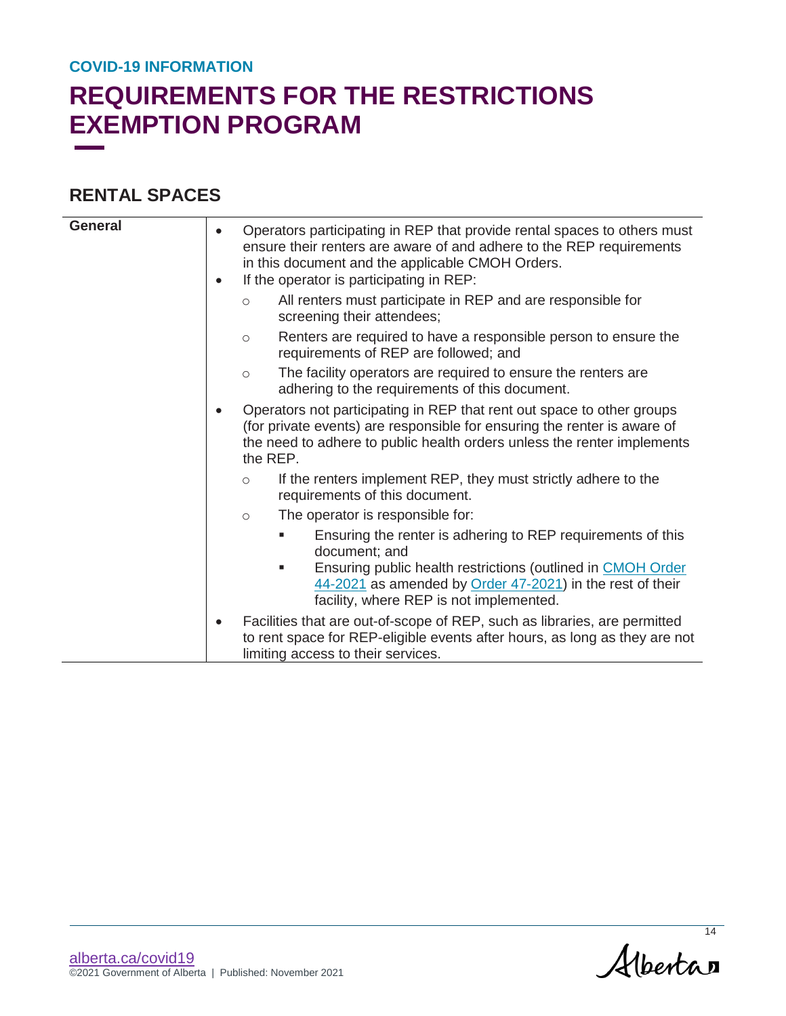## **REQUIREMENTS FOR THE RESTRICTIONS EXEMPTION PROGRAM**

### **RENTAL SPACES**

| <b>General</b> | ٠ | Operators participating in REP that provide rental spaces to others must<br>ensure their renters are aware of and adhere to the REP requirements<br>in this document and the applicable CMOH Orders.<br>If the operator is participating in REP:<br>All renters must participate in REP and are responsible for<br>$\circ$<br>screening their attendees; |
|----------------|---|----------------------------------------------------------------------------------------------------------------------------------------------------------------------------------------------------------------------------------------------------------------------------------------------------------------------------------------------------------|
|                |   | Renters are required to have a responsible person to ensure the<br>$\circ$<br>requirements of REP are followed; and                                                                                                                                                                                                                                      |
|                |   | The facility operators are required to ensure the renters are<br>$\circ$<br>adhering to the requirements of this document.                                                                                                                                                                                                                               |
|                |   | Operators not participating in REP that rent out space to other groups<br>(for private events) are responsible for ensuring the renter is aware of<br>the need to adhere to public health orders unless the renter implements<br>the REP.                                                                                                                |
|                |   | If the renters implement REP, they must strictly adhere to the<br>$\circ$<br>requirements of this document.                                                                                                                                                                                                                                              |
|                |   | The operator is responsible for:<br>$\circ$                                                                                                                                                                                                                                                                                                              |
|                |   | Ensuring the renter is adhering to REP requirements of this<br>п<br>document; and<br>Ensuring public health restrictions (outlined in CMOH Order<br>ш<br>44-2021 as amended by Order 47-2021) in the rest of their<br>facility, where REP is not implemented.                                                                                            |
|                |   | Facilities that are out-of-scope of REP, such as libraries, are permitted<br>to rent space for REP-eligible events after hours, as long as they are not<br>limiting access to their services.                                                                                                                                                            |

Albertan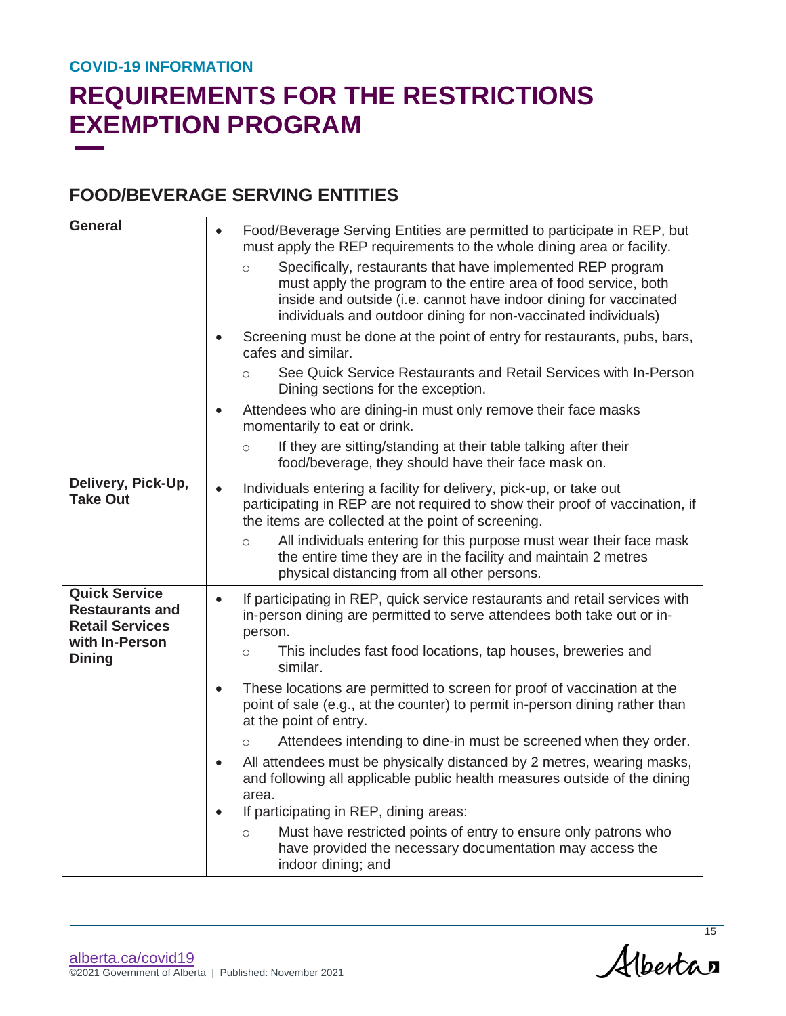# **REQUIREMENTS FOR THE RESTRICTIONS EXEMPTION PROGRAM**

### **FOOD/BEVERAGE SERVING ENTITIES**

| <b>General</b>                                                                                              | Food/Beverage Serving Entities are permitted to participate in REP, but<br>$\bullet$<br>must apply the REP requirements to the whole dining area or facility.<br>Specifically, restaurants that have implemented REP program<br>$\circ$<br>must apply the program to the entire area of food service, both<br>inside and outside (i.e. cannot have indoor dining for vaccinated<br>individuals and outdoor dining for non-vaccinated individuals) |
|-------------------------------------------------------------------------------------------------------------|---------------------------------------------------------------------------------------------------------------------------------------------------------------------------------------------------------------------------------------------------------------------------------------------------------------------------------------------------------------------------------------------------------------------------------------------------|
|                                                                                                             | Screening must be done at the point of entry for restaurants, pubs, bars,<br>cafes and similar.                                                                                                                                                                                                                                                                                                                                                   |
|                                                                                                             | See Quick Service Restaurants and Retail Services with In-Person<br>$\circ$<br>Dining sections for the exception.                                                                                                                                                                                                                                                                                                                                 |
|                                                                                                             | Attendees who are dining-in must only remove their face masks<br>momentarily to eat or drink.                                                                                                                                                                                                                                                                                                                                                     |
|                                                                                                             | If they are sitting/standing at their table talking after their<br>$\circ$<br>food/beverage, they should have their face mask on.                                                                                                                                                                                                                                                                                                                 |
| Delivery, Pick-Up,<br><b>Take Out</b>                                                                       | Individuals entering a facility for delivery, pick-up, or take out<br>participating in REP are not required to show their proof of vaccination, if<br>the items are collected at the point of screening.<br>All individuals entering for this purpose must wear their face mask<br>$\circ$                                                                                                                                                        |
|                                                                                                             | the entire time they are in the facility and maintain 2 metres<br>physical distancing from all other persons.                                                                                                                                                                                                                                                                                                                                     |
| <b>Quick Service</b><br><b>Restaurants and</b><br><b>Retail Services</b><br>with In-Person<br><b>Dining</b> | If participating in REP, quick service restaurants and retail services with<br>in-person dining are permitted to serve attendees both take out or in-<br>person.                                                                                                                                                                                                                                                                                  |
|                                                                                                             | This includes fast food locations, tap houses, breweries and<br>$\circ$<br>similar.                                                                                                                                                                                                                                                                                                                                                               |
|                                                                                                             | These locations are permitted to screen for proof of vaccination at the<br>$\bullet$<br>point of sale (e.g., at the counter) to permit in-person dining rather than<br>at the point of entry.                                                                                                                                                                                                                                                     |
|                                                                                                             | Attendees intending to dine-in must be screened when they order.<br>$\circ$                                                                                                                                                                                                                                                                                                                                                                       |
|                                                                                                             | All attendees must be physically distanced by 2 metres, wearing masks,<br>and following all applicable public health measures outside of the dining<br>area.                                                                                                                                                                                                                                                                                      |
|                                                                                                             | If participating in REP, dining areas:                                                                                                                                                                                                                                                                                                                                                                                                            |
|                                                                                                             | Must have restricted points of entry to ensure only patrons who<br>$\circ$<br>have provided the necessary documentation may access the<br>indoor dining; and                                                                                                                                                                                                                                                                                      |

Albertan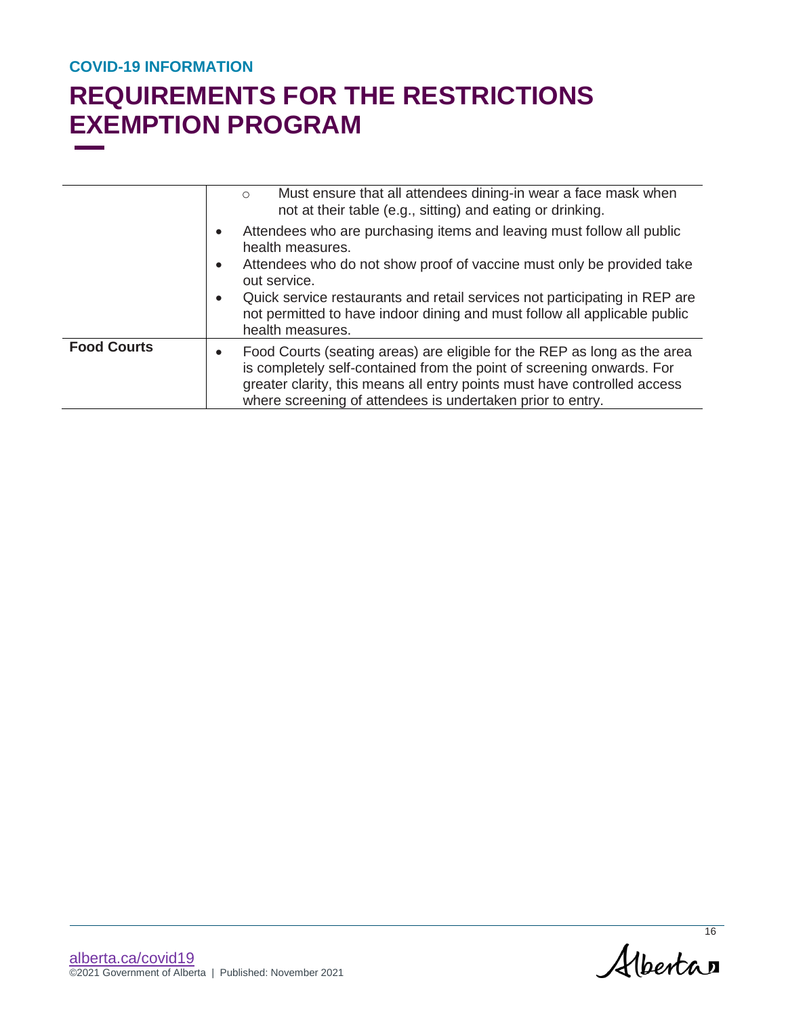|                    | Must ensure that all attendees dining-in wear a face mask when<br>$\circ$<br>not at their table (e.g., sitting) and eating or drinking.                                                                                                                                                                  |  |
|--------------------|----------------------------------------------------------------------------------------------------------------------------------------------------------------------------------------------------------------------------------------------------------------------------------------------------------|--|
|                    | Attendees who are purchasing items and leaving must follow all public<br>health measures.                                                                                                                                                                                                                |  |
|                    | Attendees who do not show proof of vaccine must only be provided take<br>$\bullet$<br>out service.                                                                                                                                                                                                       |  |
|                    | Quick service restaurants and retail services not participating in REP are<br>$\bullet$<br>not permitted to have indoor dining and must follow all applicable public<br>health measures.                                                                                                                 |  |
| <b>Food Courts</b> | Food Courts (seating areas) are eligible for the REP as long as the area<br>$\bullet$<br>is completely self-contained from the point of screening onwards. For<br>greater clarity, this means all entry points must have controlled access<br>where screening of attendees is undertaken prior to entry. |  |

Albertan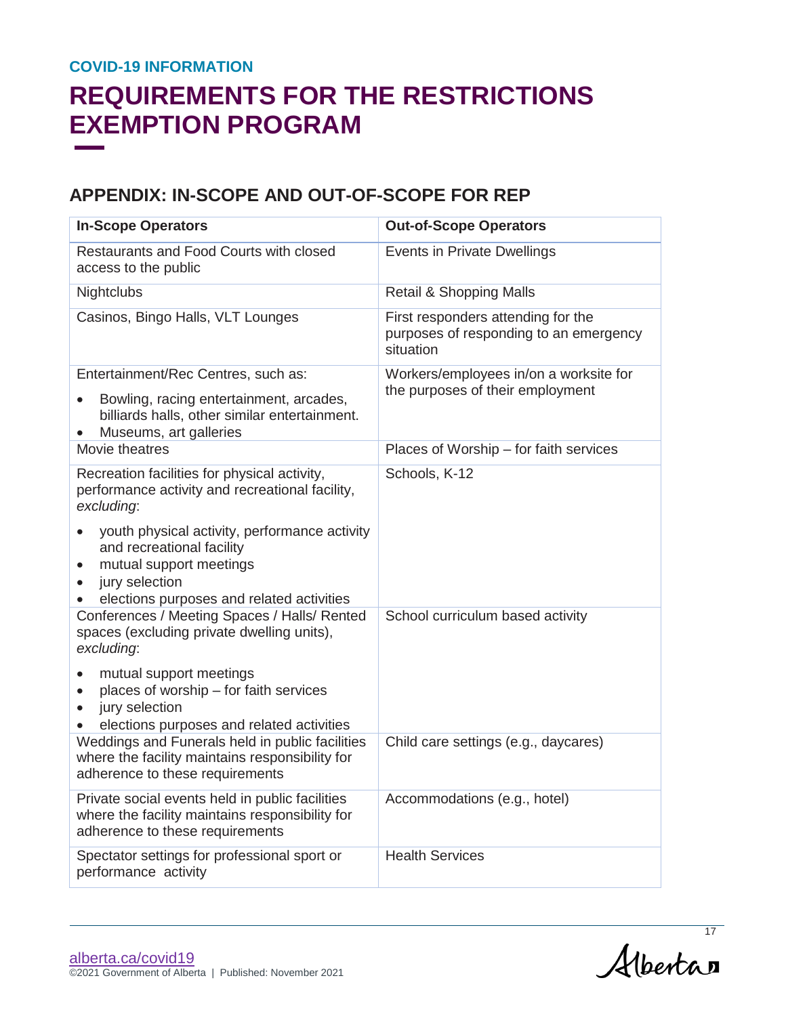# **REQUIREMENTS FOR THE RESTRICTIONS EXEMPTION PROGRAM**

### **APPENDIX: IN-SCOPE AND OUT-OF-SCOPE FOR REP**

| <b>In-Scope Operators</b>                                                                                                                                                                      | <b>Out-of-Scope Operators</b>                                                             |
|------------------------------------------------------------------------------------------------------------------------------------------------------------------------------------------------|-------------------------------------------------------------------------------------------|
| Restaurants and Food Courts with closed<br>access to the public                                                                                                                                | Events in Private Dwellings                                                               |
| Nightclubs                                                                                                                                                                                     | <b>Retail &amp; Shopping Malls</b>                                                        |
| Casinos, Bingo Halls, VLT Lounges                                                                                                                                                              | First responders attending for the<br>purposes of responding to an emergency<br>situation |
| Entertainment/Rec Centres, such as:<br>Bowling, racing entertainment, arcades,<br>billiards halls, other similar entertainment.<br>Museums, art galleries                                      | Workers/employees in/on a worksite for<br>the purposes of their employment                |
| Movie theatres                                                                                                                                                                                 | Places of Worship - for faith services                                                    |
| Recreation facilities for physical activity,<br>performance activity and recreational facility,<br>excluding:                                                                                  | Schools, K-12                                                                             |
| youth physical activity, performance activity<br>and recreational facility<br>mutual support meetings<br>$\bullet$<br>jury selection<br>$\bullet$<br>elections purposes and related activities |                                                                                           |
| Conferences / Meeting Spaces / Halls/ Rented<br>spaces (excluding private dwelling units),<br>excluding:                                                                                       | School curriculum based activity                                                          |
| mutual support meetings<br>$\bullet$<br>places of worship - for faith services<br>$\bullet$<br>jury selection<br>elections purposes and related activities                                     |                                                                                           |
| Weddings and Funerals held in public facilities<br>where the facility maintains responsibility for<br>adherence to these requirements                                                          | Child care settings (e.g., daycares)                                                      |
| Private social events held in public facilities<br>where the facility maintains responsibility for<br>adherence to these requirements                                                          | Accommodations (e.g., hotel)                                                              |
| Spectator settings for professional sport or<br>performance activity                                                                                                                           | <b>Health Services</b>                                                                    |

[alberta.ca/covid19](https://www.alberta.ca/BizConnect) ©2021 Government of Alberta | Published: November 2021

Albertan